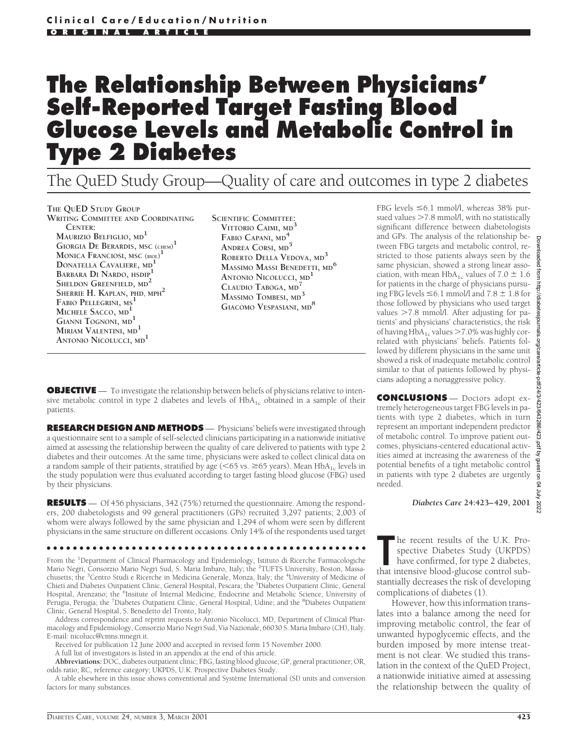# **The Relationship Between Physicians' Self-Reported Target Fasting Blood Glucose Levels and Metabolic Control in Type 2 Diabetes**

The QuED Study Group—Quality of care and outcomes in type 2 diabetes

**THE QUED STUDY GROUP WRITING COMMITTEE AND COORDINATING CENTER: MAURIZIO BELFIGLIO, MD1 GIORGIA DE BERARDIS, MSC (CHEM) 1 MONICA FRANCIOSI, MSC (BIOL) 1 DONATELLA CAVALIERE, MD<sup>1</sup> BARBARA DI NARDO, HSDIP<sup>1</sup> SHELDON GREENFIELD, MD<sup>2</sup> SHERRIE H. KAPLAN, PHD, MPH2 FABIO PELLEGRINI, MS1 MICHELE SACCO, MD1 GIANNI TOGNONI, MD1 MIRIAM VALENTINI, MD1 ANTONIO NICOLUCCI, MD<sup>1</sup>**

**SCIENTIFIC COMMITTEE: VITTORIO CAIMI, MD3 FABIO CAPANI, MD4 ANDREA CORSI, MD5 ROBERTO DELLA VEDOVA, MD3 MASSIMO MASSI BENEDETTI, MD6 ANTONIO NICOLUCCI, MD<sup>1</sup> CLAUDIO TABOGA, MD7 MASSIMO TOMBESI, MD3 GIACOMO VESPASIANI, MD<sup>8</sup>**

**OBJECTIVE** — To investigate the relationship between beliefs of physicians relative to intensive metabolic control in type 2 diabetes and levels of  $HbA_{1c}$  obtained in a sample of their patients.

**RESEARCH DESIGN AND METHODS** — Physicians' beliefs were investigated through a questionnaire sent to a sample of self-selected clinicians participating in a nationwide initiative aimed at assessing the relationship between the quality of care delivered to patients with type 2 diabetes and their outcomes. At the same time, physicians were asked to collect clinical data on a random sample of their patients, stratified by age ( $<$  65 vs.  $\ge$  65 years). Mean HbA<sub>1c</sub> levels in the study population were thus evaluated according to target fasting blood glucose (FBG) used by their physicians.

**RESULTS** — Of 456 physicians, 342 (75%) returned the questionnaire. Among the responders, 200 diabetologists and 99 general practitioners (GPs) recruited 3,297 patients; 2,003 of whom were always followed by the same physician and 1,294 of whom were seen by different physicians in the same structure on different occasions. Only 14% of the respondents used target

●●●●●●●●●●●●●●●●●●●●●●●●●●●●●●●●●●●●●●●●●●●●●●●●●

From the <sup>1</sup>Department of Clinical Pharmacology and Epidemiology, Istituto di Ricerche Farmacologiche Mario Negri, Consorzio Mario Negri Sud, S. Maria Imbaro, Italy; the <sup>2</sup>TUFTS University, Boston, Massachusetts; the <sup>3</sup>Centro Studi e Ricerche in Medicina Generale, Monza, Italy; the <sup>4</sup>University of Medicine of Chieti and Diabetes Outpatient Clinic, General Hospital, Pescara; the <sup>5</sup>Diabetes Outpatient Clinic, General Hospital, Arenzano; the <sup>6</sup>Insitute of Internal Medicine, Endocrine and Metabolic Science, University of Perugia, Perugia; the <sup>7</sup>Diabetes Outpatient Clinic, General Hospital, Udine; and the <sup>8</sup>Diabetes Outpatient Clinic, General Hospital, S. Benedetto del Tronto, Italy.

Address correspondence and reprint requests to Antonio Nicolucci, MD, Department of Clinical Pharmacology and Epidemiology, Consorzio Mario Negri Sud, Via Nazionale, 66030 S. Maria Imbaro (CH), Italy. E-mail: nicolucc@cmns.mnegri.it.

Received for publication 12 June 2000 and accepted in revised form 15 November 2000.

A full list of investigators is listed in an appendix at the end of this article.

**Abbreviations:**DOC, diabetes outpatient clinic; FBG, fasting blood glucose; GP, general practitioner; OR, odds ratio; RC, reference category; UKPDS, U.K. Prospective Diabetes Study.

A table elsewhere in this issue shows conventional and Système International (SI) units and conversion factors for many substances.

FBG levels  $\leq 6.1$  mmol/l, whereas 38% pursued values  $>7.8$  mmol/l, with no statistically significant difference between diabetologists and GPs. The analysis of the relationship between FBG targets and metabolic control, restricted to those patients always seen by the same physician, showed a strong linear association, with mean HbA<sub>1c</sub> values of 7.0  $\pm$  1.6 for patients in the charge of physicians pursuing FBG levels  $\leq 6.1$  mmol/l and 7.8  $\pm$  1.8 for those followed by physicians who used target values  $>7.8$  mmol/l. After adjusting for patients' and physicians' characteristics, the risk of having  $HbA_{1c}$  values  $>7.0\%$  was highly correlated with physicians' beliefs. Patients followed by different physicians in the same unit showed a risk of inadequate metabolic control similar to that of patients followed by physicians adopting a nonaggressive policy.

**CONCLUSIONS** — Doctors adopt extremely heterogeneous target FBG levels in patients with type 2 diabetes, which in turn represent an important independent predictor of metabolic control. To improve patient outcomes, physicians-centered educational activities aimed at increasing the awareness of the potential benefits of a tight metabolic control in patients with type 2 diabetes are urgently needed.

#### *Diabetes Care* **24:423–429, 2001**

The recent results of the U.K. Prospective Diabetes Study (UKPDS)<br>have confirmed, for type 2 diabetes,<br>that intensive blood-glucose control subhe recent results of the U.K. Prospective Diabetes Study (UKPDS) have confirmed, for type 2 diabetes, stantially decreases the risk of developing complications of diabetes (1).

However, how this information translates into a balance among the need for improving metabolic control, the fear of unwanted hypoglycemic effects, and the burden imposed by more intense treatment is not clear. We studied this translation in the context of the QuED Project, a nationwide initiative aimed at assessing the relationship between the quality of

headed Lou  $\frac{1}{6}$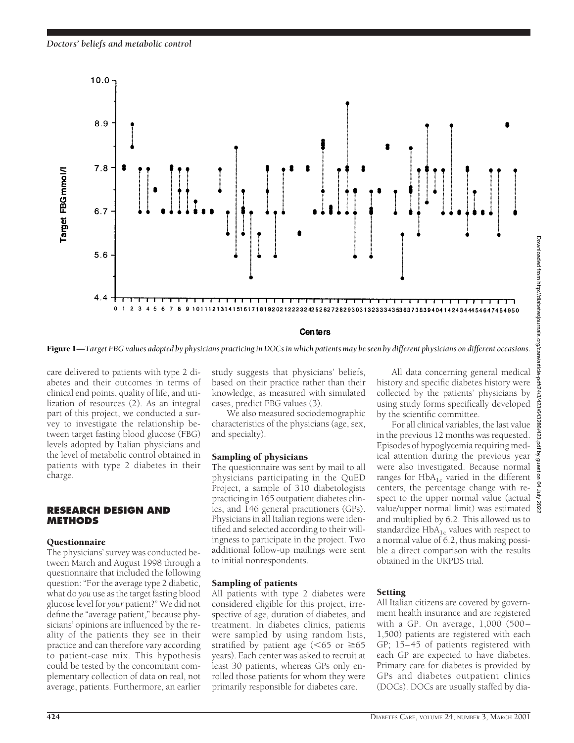

Figure 1—*Target FBG values adopted by physicians practicing in DOCs in which patients may be seen by different physicians on different occasions.*

care delivered to patients with type 2 diabetes and their outcomes in terms of clinical end points, quality of life, and utilization of resources (2). As an integral part of this project, we conducted a survey to investigate the relationship between target fasting blood glucose (FBG) levels adopted by Italian physicians and the level of metabolic control obtained in patients with type 2 diabetes in their charge.

#### **RESEARCH DESIGN AND METHODS**

### Questionnaire

The physicians' survey was conducted between March and August 1998 through a questionnaire that included the following question: "For the average type 2 diabetic, what do *you* use as the target fasting blood glucose level for *your* patient?" We did not define the "average patient," because physicians' opinions are influenced by the reality of the patients they see in their practice and can therefore vary according to patient-case mix. This hypothesis could be tested by the concomitant complementary collection of data on real, not average, patients. Furthermore, an earlier study suggests that physicians' beliefs, based on their practice rather than their knowledge, as measured with simulated cases, predict FBG values (3).

We also measured sociodemographic characteristics of the physicians (age, sex, and specialty).

### Sampling of physicians

The questionnaire was sent by mail to all physicians participating in the QuED Project, a sample of 310 diabetologists practicing in 165 outpatient diabetes clinics, and 146 general practitioners (GPs). Physicians in all Italian regions were identified and selected according to their willingness to participate in the project. Two additional follow-up mailings were sent to initial nonrespondents.

## Sampling of patients

All patients with type 2 diabetes were considered eligible for this project, irrespective of age, duration of diabetes, and treatment. In diabetes clinics, patients were sampled by using random lists, stratified by patient age ( $<$  65 or  $\geq$  65 years). Each center was asked to recruit at least 30 patients, whereas GPs only enrolled those patients for whom they were primarily responsible for diabetes care.

All data concerning general medical history and specific diabetes history were collected by the patients' physicians by using study forms specifically developed by the scientific committee.

For all clinical variables, the last value in the previous 12 months was requested. Episodes of hypoglycemia requiring medical attention during the previous year were also investigated. Because normal ranges for HbA<sub>1c</sub> varied in the different centers, the percentage change with respect to the upper normal value (actual value/upper normal limit) was estimated and multiplied by 6.2. This allowed us to standardize  $HbA_{1c}$  values with respect to a normal value of 6.2, thus making possible a direct comparison with the results obtained in the UKPDS trial.

## Setting

All Italian citizens are covered by government health insurance and are registered with a GP. On average, 1,000 (500– 1,500) patients are registered with each GP; 15–45 of patients registered with each GP are expected to have diabetes. Primary care for diabetes is provided by GPs and diabetes outpatient clinics (DOCs). DOCs are usually staffed by dia-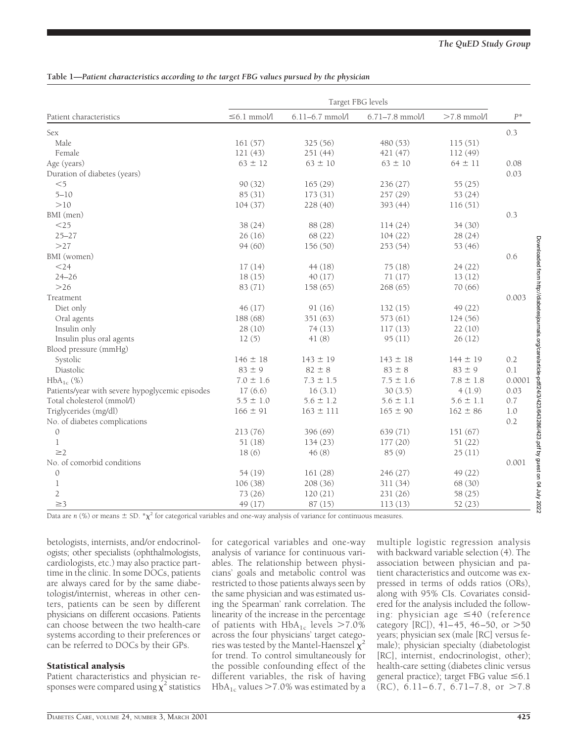## **Table 1—***Patient characteristics according to the target FBG values pursued by the physician*

| Patient characteristics                         | Target FBG levels |                     |                 |               |          |
|-------------------------------------------------|-------------------|---------------------|-----------------|---------------|----------|
|                                                 | $\leq 6.1$ mmol/l | $6.11 - 6.7$ mmol/l | 6.71-7.8 mmol/l | $>7.8$ mmol/l | $P^\ast$ |
| <b>Sex</b>                                      |                   |                     |                 |               | 0.3      |
| Male                                            | 161(57)           | 325 (56)            | 480 (53)        | 115(51)       |          |
| Female                                          | 121(43)           | 251(44)             | 421 (47)        | 112 (49)      |          |
| Age (years)                                     | $63 \pm 12$       | $63 \pm 10$         | $63 \pm 10$     | $64 \pm 11$   | 0.08     |
| Duration of diabetes (years)                    |                   |                     |                 |               | 0.03     |
| $<$ 5                                           | 90(32)            | 165(29)             | 236 (27)        | 55(25)        |          |
| $5 - 10$                                        | 85(31)            | 173(31)             | 257(29)         | 53(24)        |          |
| >10                                             | 104(37)           | 228 (40)            | 393 (44)        | 116(51)       |          |
| BMI (men)                                       |                   |                     |                 |               | 0.3      |
| $<$ 25                                          | 38 (24)           | 88 (28)             | 114(24)         | 34(30)        |          |
| $25 - 27$                                       | 26(16)            | 68 (22)             | 104(22)         | 28(24)        |          |
| >27                                             | 94 (60)           | 156 (50)            | 253(54)         | 53 (46)       |          |
| BMI (women)                                     |                   |                     |                 |               | 0.6      |
| $<$ 24                                          | 17(14)            | 44(18)              | 75(18)          | 24(22)        |          |
| $24 - 26$                                       | 18(15)            | 40(17)              | 71(17)          | 13(12)        |          |
| $>26$                                           | 83 (71)           | 158(65)             | 268(65)         | 70 (66)       |          |
| Treatment                                       |                   |                     |                 |               | 0.003    |
| Diet only                                       | 46(17)            | 91(16)              | 132(15)         | 49 (22)       |          |
| Oral agents                                     | 188 (68)          | 351 (63)            | 573 (61)        | 124(56)       |          |
| Insulin only                                    | 28(10)            | 74(13)              | 117(13)         | 22(10)        |          |
| Insulin plus oral agents                        | 12(5)             | 41(8)               | 95(11)          | 26(12)        |          |
| Blood pressure (mmHg)                           |                   |                     |                 |               |          |
| Systolic                                        | $146 \pm 18$      | $143 \pm 19$        | $143 \pm 18$    | $144 \pm 19$  | 0.2      |
| Diastolic                                       | $83 \pm 9$        | $82 \pm 8$          | $83 \pm 8$      | $83 \pm 9$    | 0.1      |
| $HbA_{1c}$ (%)                                  | $7.0 \pm 1.6$     | $7.3 \pm 1.5$       | $7.5 \pm 1.6$   | $7.8 \pm 1.8$ | 0.0001   |
| Patients/year with severe hypoglycemic episodes | 17(6.6)           | 16(3.1)             | 30(3.5)         | 4(1.9)        | 0.03     |
| Total cholesterol (mmol/l)                      | $5.5 \pm 1.0$     | $5.6 \pm 1.2$       | $5.6 \pm 1.1$   | $5.6 \pm 1.1$ | 0.7      |
| Triglycerides (mg/dl)                           | $166 \pm 91$      | $163 \pm 111$       | $165 \pm 90$    | $162 \pm 86$  | 1.0      |
| No. of diabetes complications                   |                   |                     |                 |               | 0.2      |
| $\mathcal{O}$                                   | 213 (76)          | 396 (69)            | 639 (71)        | 151(67)       |          |
| $\mathbf{1}$                                    | 51(18)            | 134(23)             | 177 (20)        | 51(22)        |          |
| $\geq$ 2                                        | 18(6)             | 46(8)               | 85(9)           | 25(11)        |          |
| No. of comorbid conditions                      |                   |                     |                 |               | 0.001    |
| $\mathcal{O}$                                   | 54 (19)           | 161(28)             | 246 (27)        | 49 (22)       |          |
| 1                                               | 106 (38)          | 208(36)             | 311 (34)        | 68 (30)       |          |
| $\overline{2}$                                  | 73(26)            | 120(21)             | 231(26)         | 58 (25)       |          |
| $\geq$ 3                                        | 49 (17)           | 87(15)              | 113(13)         | 52 (23)       |          |

Data are *n* (%) or means  $\pm$  SD. \* $\chi^2$  for categorical variables and one-way analysis of variance for continuous measures.

betologists, internists, and/or endocrinologists; other specialists (ophthalmologists, cardiologists, etc.) may also practice parttime in the clinic. In some DOCs, patients are always cared for by the same diabetologist/internist, whereas in other centers, patients can be seen by different physicians on different occasions. Patients can choose between the two health-care systems according to their preferences or can be referred to DOCs by their GPs.

## Statistical analysis

Patient characteristics and physician responses were compared using  $\chi^2$  statistics for categorical variables and one-way analysis of variance for continuous variables. The relationship between physicians' goals and metabolic control was restricted to those patients always seen by the same physician and was estimated using the Spearman' rank correlation. The linearity of the increase in the percentage of patients with  $HbA_{1c}$  levels  $>7.0\%$ across the four physicians' target categories was tested by the Mantel-Haenszel  $\chi^2$ for trend. To control simultaneously for the possible confounding effect of the different variables, the risk of having  $HbA_{1c}$  values  $>7.0\%$  was estimated by a multiple logistic regression analysis with backward variable selection (4). The association between physician and patient characteristics and outcome was expressed in terms of odds ratios (ORs), along with 95% CIs. Covariates considered for the analysis included the following: physician age  $\leq 40$  (reference category [RC]),  $41-45$ ,  $46-50$ , or  $>50$ years; physician sex (male [RC] versus female); physician specialty (diabetologist [RC], internist, endocrinologist, other); health-care setting (diabetes clinic versus general practice); target FBG value  $\leq 6.1$  $(RC), 6.11-6.7, 6.71-7.8, or >7.8$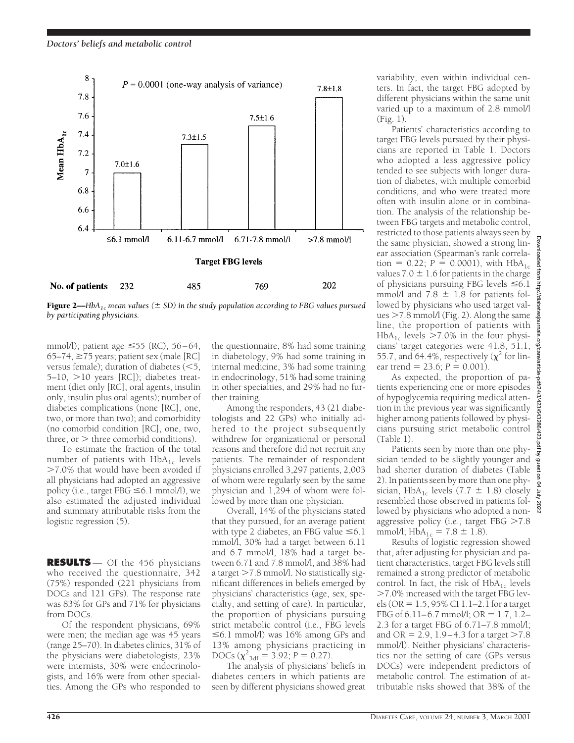

**Figure 2—***HbA<sub>1c</sub>* **mean values (** $\pm$  **SD) in the study population according to FBG values pursued** *by participating physicians.*

mmol/l); patient age  $\leq$  55 (RC), 56–64, 65–74,  $\ge$ 75 years; patient sex (male [RC] versus female); duration of diabetes  $(<5,$ 5–10,  $>10$  years [RC]); diabetes treatment (diet only [RC], oral agents, insulin only, insulin plus oral agents); number of diabetes complications (none [RC], one, two, or more than two); and comorbidity (no comorbid condition [RC], one, two, three, or  $>$  three comorbid conditions).

To estimate the fraction of the total number of patients with  $HbA_{1c}$  levels  $>7.0\%$  that would have been avoided if all physicians had adopted an aggressive policy (i.e., target  $FBG \leq 6.1$  mmol/l), we also estimated the adjusted individual and summary attributable risks from the logistic regression (5).

**RESULTS** — Of the 456 physicians who received the questionnaire, 342 (75%) responded (221 physicians from DOCs and 121 GPs). The response rate was 83% for GPs and 71% for physicians from DOCs.

Of the respondent physicians, 69% were men; the median age was 45 years (range 25–70). In diabetes clinics, 31% of the physicians were diabetologists, 23% were internists, 30% were endocrinologists, and 16% were from other specialties. Among the GPs who responded to the questionnaire, 8% had some training in diabetology, 9% had some training in internal medicine, 3% had some training in endocrinology, 51% had some training in other specialties, and 29% had no further training.

Among the responders, 43 (21 diabetologists and 22 GPs) who initially adhered to the project subsequently withdrew for organizational or personal reasons and therefore did not recruit any patients. The remainder of respondent physicians enrolled 3,297 patients, 2,003 of whom were regularly seen by the same physician and 1,294 of whom were followed by more than one physician.

Overall, 14% of the physicians stated that they pursued, for an average patient with type 2 diabetes, an FBG value  $\leq 6.1$ mmol/l, 30% had a target between 6.11 and 6.7 mmol/l, 18% had a target between 6.71 and 7.8 mmol/l, and 38% had a target  $>7.8$  mmol/l. No statistically significant differences in beliefs emerged by physicians' characteristics (age, sex, specialty, and setting of care). In particular, the proportion of physicians pursuing strict metabolic control (i.e., FBG levels  $\leq 6.1$  mmol/l) was 16% among GPs and 13% among physicians practicing in DOCs  $(\chi^2_{3\text{df}} = 3.92; P = 0.27)$ .

The analysis of physicians' beliefs in diabetes centers in which patients are seen by different physicians showed great variability, even within individual centers. In fact, the target FBG adopted by different physicians within the same unit varied up to a maximum of 2.8 mmol/l (Fig. 1).

Patients' characteristics according to target FBG levels pursued by their physicians are reported in Table 1. Doctors who adopted a less aggressive policy tended to see subjects with longer duration of diabetes, with multiple comorbid conditions, and who were treated more often with insulin alone or in combination. The analysis of the relationship between FBG targets and metabolic control, restricted to those patients always seen by the same physician, showed a strong linear association (Spearman's rank correlation =  $0.22$ ; *P* =  $0.0001$ ), with HbA<sub>1c</sub> values 7.0  $\pm$  1.6 for patients in the charge of physicians pursuing FBG levels  $\leq 6.1$ mmol/l and  $7.8 \pm 1.8$  for patients followed by physicians who used target values  $>7.8$  mmol/l (Fig. 2). Along the same line, the proportion of patients with  $HbA_{1c}$  levels  $>7.0\%$  in the four physicians' target categories were 41.8, 51.1, 55.7, and 64.4%, respectively  $(\chi^2$  for linear trend =  $23.6; P = 0.001$ .

As expected, the proportion of patients experiencing one or more episodes of hypoglycemia requiring medical attention in the previous year was significantly higher among patients followed by physicians pursuing strict metabolic control (Table 1).

Patients seen by more than one physician tended to be slightly younger and had shorter duration of diabetes (Table 2). In patients seen by more than one physician, HbA<sub>1c</sub> levels (7.7  $\pm$  1.8) closely resembled those observed in patients followed by physicians who adopted a nonaggressive policy (i.e., target FBG  $>7.8$ mmol/l;  $HbA_{1c} = 7.8 \pm 1.8$ .

Results of logistic regression showed that, after adjusting for physician and patient characteristics, target FBG levels still remained a strong predictor of metabolic control. In fact, the risk of  $HbA_{1c}$  levels .7.0% increased with the target FBG levels (OR =  $1.5$ , 95% CI 1.1–2.1 for a target FBG of  $6.11-6.7$  mmol $\Lambda$ ; OR = 1.7, 1.2– 2.3 for a target FBG of  $6.71-7.8$  mmol/l; and OR = 2.9, 1.9–4.3 for a target  $>7.8$ mmol/l). Neither physicians' characteristics nor the setting of care (GPs versus DOCs) were independent predictors of metabolic control. The estimation of attributable risks showed that 38% of the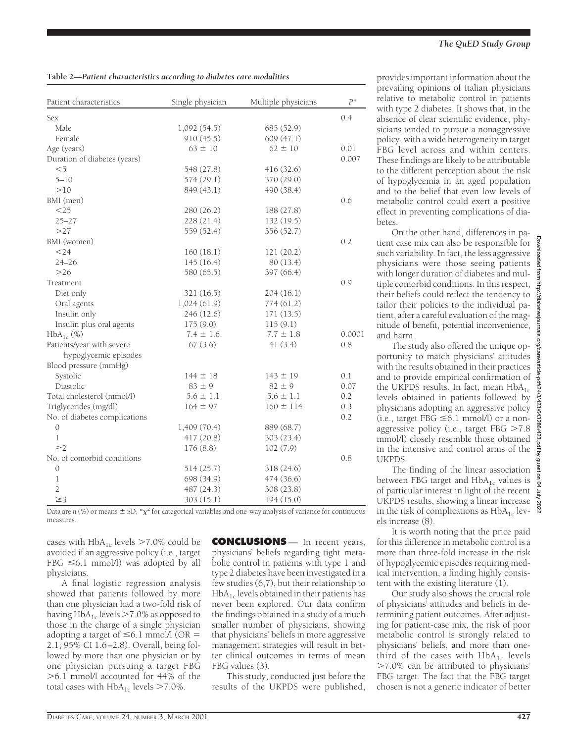**Table 2—***Patient characteristics according to diabetes care modalities*

| Patient characteristics                            | Single physician | Multiple physicians | $P^*$  |  |
|----------------------------------------------------|------------------|---------------------|--------|--|
| Sex                                                |                  |                     | 0.4    |  |
| Male                                               | 1,092(54.5)      | 685 (52.9)          |        |  |
| Female                                             | 910(45.5)        | 609 (47.1)          |        |  |
| Age (years)                                        | $63 \pm 10$      | $62 \pm 10$         | 0.01   |  |
| Duration of diabetes (years)                       |                  |                     | 0.007  |  |
| $<$ 5                                              | 548 (27.8)       | 416(32.6)           |        |  |
| $5 - 10$                                           | 574 (29.1)       | 370 (29.0)          |        |  |
| >10                                                | 849 (43.1)       | 490 (38.4)          |        |  |
| BMI (men)                                          |                  |                     | 0.6    |  |
| $<$ 25                                             | 280 (26.2)       | 188 (27.8)          |        |  |
| $25 - 27$                                          | 228 (21.4)       | 132(19.5)           |        |  |
| >27                                                | 559 (52.4)       | 356 (52.7)          |        |  |
| BMI (women)                                        |                  |                     | 0.2    |  |
| $<$ 24                                             | 160(18.1)        | 121 (20.2)          |        |  |
| $24 - 26$                                          | 145 (16.4)       | 80 (13.4)           |        |  |
| >26                                                | 580 (65.5)       | 397 (66.4)          |        |  |
| Treatment                                          |                  |                     | 0.9    |  |
| Diet only                                          | 321 (16.5)       | 204(16.1)           |        |  |
| Oral agents                                        | 1,024(61.9)      | 774 (61.2)          |        |  |
| Insulin only                                       | 246 (12.6)       | 171(13.5)           |        |  |
| Insulin plus oral agents                           | 175(9.0)         | 115(9.1)            |        |  |
| $HbA_{1c}$ (%)                                     | $7.4 \pm 1.6$    | $7.7 \pm 1.8$       | 0.0001 |  |
| Patients/year with severe<br>hypoglycemic episodes | 67(3.6)          | 41(3.4)             | 0.8    |  |
| Blood pressure (mmHg)                              |                  |                     |        |  |
| Systolic                                           | $144 \pm 18$     | $143 \pm 19$        | 0.1    |  |
| Diastolic                                          | $83 \pm 9$       | $82 \pm 9$          | 0.07   |  |
| Total cholesterol (mmol/l)                         | $5.6 \pm 1.1$    | $5.6 \pm 1.1$       | 0.2    |  |
| Triglycerides (mg/dl)                              | $164 \pm 97$     | $160 \pm 114$       | 0.3    |  |
| No. of diabetes complications                      |                  |                     | 0.2    |  |
| $\mathcal{O}$                                      | 1,409(70.4)      | 889 (68.7)          |        |  |
| 1                                                  | 417 (20.8)       | 303 (23.4)          |        |  |
| $\geq$ 2                                           | 176 (8.8)        | 102(7.9)            |        |  |
| No. of comorbid conditions                         |                  |                     | 0.8    |  |
| 0                                                  | 514 (25.7)       | 318 (24.6)          |        |  |
| $\mathbf 1$                                        | 698 (34.9)       | 474 (36.6)          |        |  |
| $\overline{2}$                                     | 487 (24.3)       | 308 (23.8)          |        |  |
| $\geq$ 3                                           | 303(15.1)        | 194(15.0)           |        |  |

Data are *n* (%) or means  $\pm$  SD. \* $\chi^2$  for categorical variables and one-way analysis of variance for continuous measures.

cases with  $HbA_{1c}$  levels  $>7.0\%$  could be avoided if an aggressive policy (i.e., target FBG  $\leq 6.1$  mmol/l) was adopted by all physicians.

A final logistic regression analysis showed that patients followed by more than one physician had a two-fold risk of having  $HbA_{1c}$  levels  $>7.0\%$  as opposed to those in the charge of a single physician adopting a target of  $\leq 6.1$  mmol/l (OR  $=$ 2.1; 95% CI 1.6–2.8). Overall, being followed by more than one physician or by one physician pursuing a target FBG  $>6.1$  mmol/l accounted for 44% of the total cases with  $HbA_{1c}$  levels  $>7.0\%$ .

**CONCLUSIONS** — In recent years, physicians' beliefs regarding tight metabolic control in patients with type 1 and type 2 diabetes have been investigated in a few studies (6,7), but their relationship to  $HbA<sub>1c</sub>$  levels obtained in their patients has never been explored. Our data confirm the findings obtained in a study of a much smaller number of physicians, showing that physicians' beliefs in more aggressive management strategies will result in better clinical outcomes in terms of mean FBG values (3).

This study, conducted just before the results of the UKPDS were published,

provides important information about the prevailing opinions of Italian physicians relative to metabolic control in patients with type 2 diabetes. It shows that, in the absence of clear scientific evidence, physicians tended to pursue a nonaggressive policy, with a wide heterogeneity in target FBG level across and within centers. These findings are likely to be attributable to the different perception about the risk of hypoglycemia in an aged population and to the belief that even low levels of metabolic control could exert a positive effect in preventing complications of diabetes.

On the other hand, differences in patient case mix can also be responsible for such variability. In fact, the less aggressive physicians were those seeing patients with longer duration of diabetes and multiple comorbid conditions. In this respect, their beliefs could reflect the tendency to tailor their policies to the individual patient, after a careful evaluation of the magnitude of benefit, potential inconvenience, and harm.

The study also offered the unique opportunity to match physicians' attitudes with the results obtained in their practices and to provide empirical confirmation of the UKPDS results. In fact, mean  $HbA_{1c}$ levels obtained in patients followed by physicians adopting an aggressive policy (i.e., target FBG  $\leq 6.1$  mmol/l) or a nonaggressive policy (i.e., target FBG  $>7.8$ mmol/l) closely resemble those obtained in the intensive and control arms of the UKPDS.

The finding of the linear association between FBG target and  $HbA_{1c}$  values is of particular interest in light of the recent UKPDS results, showing a linear increase in the risk of complications as  $HbA_{1c}$  levels increase (8).

It is worth noting that the price paid for this difference in metabolic control is a more than three-fold increase in the risk of hypoglycemic episodes requiring medical intervention, a finding highly consistent with the existing literature (1).

Our study also shows the crucial role of physicians' attitudes and beliefs in determining patient outcomes. After adjusting for patient-case mix, the risk of poor metabolic control is strongly related to physicians' beliefs, and more than onethird of the cases with  $HbA_{1c}$  levels .7.0% can be attributed to physicians' FBG target. The fact that the FBG target chosen is not a generic indicator of better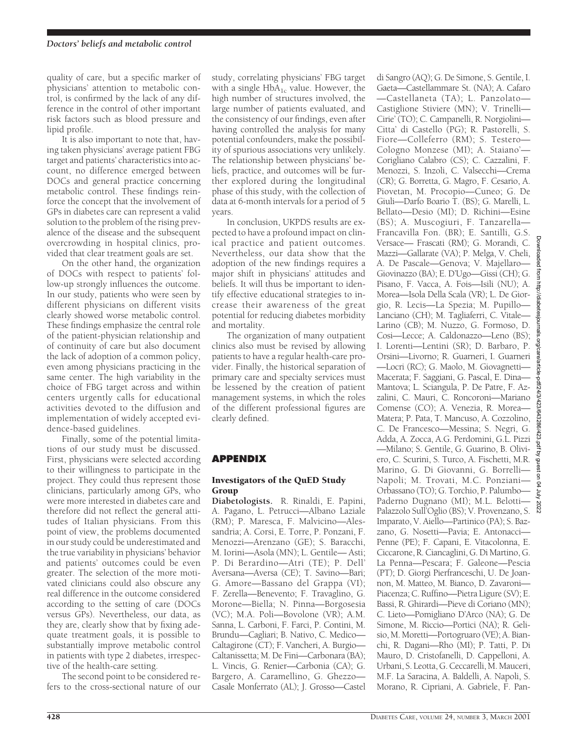quality of care, but a specific marker of physicians' attention to metabolic control, is confirmed by the lack of any difference in the control of other important risk factors such as blood pressure and lipid profile.

It is also important to note that, having taken physicians' average patient FBG target and patients' characteristics into account, no difference emerged between DOCs and general practice concerning metabolic control. These findings reinforce the concept that the involvement of GPs in diabetes care can represent a valid solution to the problem of the rising prevalence of the disease and the subsequent overcrowding in hospital clinics, provided that clear treatment goals are set.

On the other hand, the organization of DOCs with respect to patients' follow-up strongly influences the outcome. In our study, patients who were seen by different physicians on different visits clearly showed worse metabolic control. These findings emphasize the central role of the patient-physician relationship and of continuity of care but also document the lack of adoption of a common policy, even among physicians practicing in the same center. The high variability in the choice of FBG target across and within centers urgently calls for educational activities devoted to the diffusion and implementation of widely accepted evidence-based guidelines.

Finally, some of the potential limitations of our study must be discussed. First, physicians were selected according to their willingness to participate in the project. They could thus represent those clinicians, particularly among GPs, who were more interested in diabetes care and therefore did not reflect the general attitudes of Italian physicians. From this point of view, the problems documented in our study could be underestimated and the true variability in physicians' behavior and patients' outcomes could be even greater. The selection of the more motivated clinicians could also obscure any real difference in the outcome considered according to the setting of care (DOCs versus GPs). Nevertheless, our data, as they are, clearly show that by fixing adequate treatment goals, it is possible to substantially improve metabolic control in patients with type 2 diabetes, irrespective of the health-care setting.

The second point to be considered refers to the cross-sectional nature of our

study, correlating physicians' FBG target with a single  $HbA_{1c}$  value. However, the high number of structures involved, the large number of patients evaluated, and the consistency of our findings, even after having controlled the analysis for many potential confounders, make the possibility of spurious associations very unlikely. The relationship between physicians' beliefs, practice, and outcomes will be further explored during the longitudinal phase of this study, with the collection of data at 6-month intervals for a period of 5 years.

In conclusion, UKPDS results are expected to have a profound impact on clinical practice and patient outcomes. Nevertheless, our data show that the adoption of the new findings requires a major shift in physicians' attitudes and beliefs. It will thus be important to identify effective educational strategies to increase their awareness of the great potential for reducing diabetes morbidity and mortality.

The organization of many outpatient clinics also must be revised by allowing patients to have a regular health-care provider. Finally, the historical separation of primary care and specialty services must be lessened by the creation of patient management systems, in which the roles of the different professional figures are clearly defined.

## **APPENDIX**

#### Investigators of the QuED Study Group

**Diabetologists.** R. Rinaldi, E. Papini, A. Pagano, L. Petrucci—Albano Laziale (RM); P. Maresca, F. Malvicino—Alessandria; A. Corsi, E. Torre, P. Ponzani, F. Menozzi—Arenzano (GE); S. Baracchi, M. Iorini—Asola (MN); L. Gentile— Asti; P. Di Berardino—Atri (TE); P. Dell' Aversana—Aversa (CE); T. Savino—Bari; G. Amore—Bassano del Grappa (VI); F. Zerella—Benevento; F. Travaglino, G. Morone—Biella; N. Pinna—Borgosesia (VC); M.A. Poli—Bovolone (VR); A.M. Sanna, L. Carboni, F. Farci, P. Contini, M. Brundu—Cagliari; B. Nativo, C. Medico— Caltagirone (CT); F. Vancheri, A. Burgio— Caltanissetta; M. De Fini—Carbonara (BA); L. Vincis, G. Renier—Carbonia (CA); G. Bargero, A. Caramellino, G. Ghezzo— Casale Monferrato (AL); J. Grosso—Castel

di Sangro (AQ); G. De Simone, S. Gentile, I. Gaeta—Castellammare St. (NA); A. Cafaro —Castellaneta (TA); L. Panzolato— Castiglione Stiviere (MN); V. Trinelli— Cirie' (TO); C. Campanelli, R. Norgiolini— Citta' di Castello (PG); R. Pastorelli, S. Fiore—Colleferro (RM); S. Testero— Cologno Monzese (MI); A. Staiano'— Corigliano Calabro (CS); C. Cazzalini, F. Menozzi, S. Inzoli, C. Valsecchi—Crema (CR); G. Borretta, G. Magro, F. Cesario, A. Piovetan, M. Procopio—Cuneo; G. De Giuli—Darfo Boario T. (BS); G. Marelli, L. Bellato—Desio (MI); D. Richini—Esine (BS); A. Muscogiuri, F. Tanzarella— Francavilla Fon. (BR); E. Santilli, G.S. Versace— Frascati (RM); G. Morandi, C. Mazzi—Gallarate (VA); P. Melga, V. Cheli, A. De Pascale—Genova; V. Majellaro— Giovinazzo (BA); E. D'Ugo—Gissi (CH); G. Pisano, F. Vacca, A. Fois—Isili (NU); A. Morea—Isola Della Scala (VR); L. De Giorgio, R. Lecis—La Spezia; M. Pupillo— Lanciano (CH); M. Tagliaferri, C. Vitale— Larino (CB); M. Nuzzo, G. Formoso, D. Cosi—Lecce; A. Caldonazzo—Leno (BS); I. Lorenti—Lentini (SR); D. Barbaro, P. Orsini—Livorno; R. Guarneri, I. Guarneri —Locri (RC); G. Maolo, M. Giovagnetti— Macerata; F. Saggiani, G. Pascal, E. Dina— Mantova; L. Sciangula, P. De Patre, F. Azzalini, C. Mauri, C. Roncoroni—Mariano Comense (CO); A. Venezia, R. Morea— Matera; P. Pata, T. Mancuso, A. Cozzolino, C. De Francesco—Messina; S. Negri, G. Adda, A. Zocca, A.G. Perdomini, G.L. Pizzi —Milano; S. Gentile, G. Guarino, B. Oliviero, C. Scurini, S. Turco, A. Fischetti, M.R. Marino, G. Di Giovanni, G. Borrelli— Napoli; M. Trovati, M.C. Ponziani— Orbassano (TO); G. Torchio, P. Palumbo— Paderno Dugnano (MI); M.L. Belotti— Palazzolo Sull'Oglio (BS); V. Provenzano, S. Imparato, V. Aiello—Partinico (PA); S. Bazzano, G. Nosetti—Pavia; E. Antonacci— Penne (PE); F. Capani, E. Vitacolonna, E. Ciccarone, R. Ciancaglini, G. Di Martino, G. La Penna—Pescara; F. Galeone—Pescia (PT); D. Giorgi Pierfranceschi, U. De Joannon, M. Matteo, M. Bianco, D. Zavaroni— Piacenza; C. Ruffino—Pietra Ligure (SV); E. Bassi, R. Ghirardi—Pieve di Coriano (MN); C. Lieto—Pomigliano D'Arco (NA); G. De Simone, M. Riccio—Portici (NA); R. Gelisio, M. Moretti—Portogruaro (VE); A. Bianchi, R. Dagani—Rho (MI); P. Tatti, P. Di Mauro, D. Cristofanelli, D. Cappelloni, A. Urbani, S. Leotta, G. Ceccarelli, M. Mauceri, M.F. La Saracina, A. Baldelli, A. Napoli, S. Morano, R. Cipriani, A. Gabriele, F. Pan